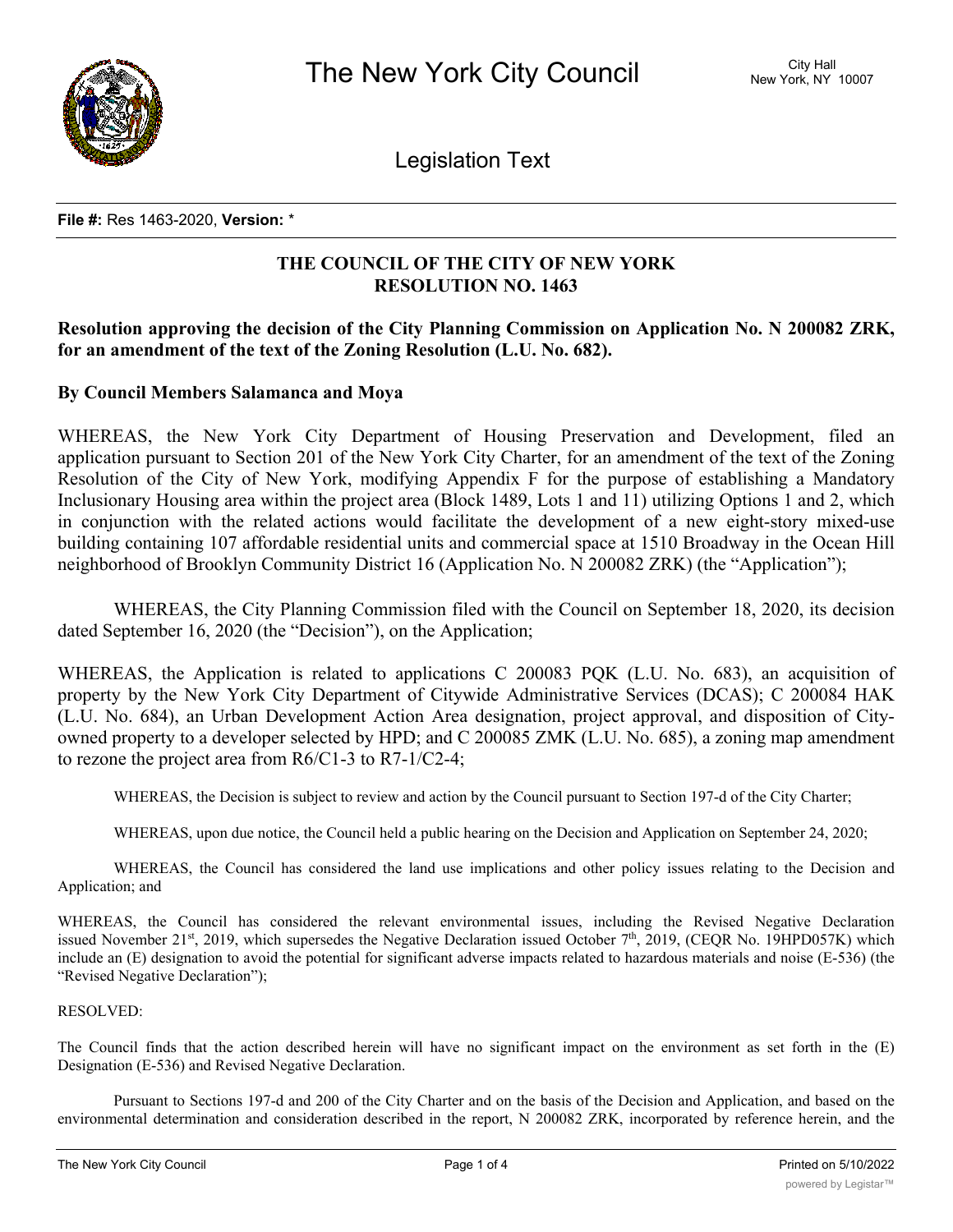

Legislation Text

**File #:** Res 1463-2020, **Version:** \*

## **THE COUNCIL OF THE CITY OF NEW YORK RESOLUTION NO. 1463**

## **Resolution approving the decision of the City Planning Commission on Application No. N 200082 ZRK, for an amendment of the text of the Zoning Resolution (L.U. No. 682).**

### **By Council Members Salamanca and Moya**

WHEREAS, the New York City Department of Housing Preservation and Development, filed an application pursuant to Section 201 of the New York City Charter, for an amendment of the text of the Zoning Resolution of the City of New York, modifying Appendix F for the purpose of establishing a Mandatory Inclusionary Housing area within the project area (Block 1489, Lots 1 and 11) utilizing Options 1 and 2, which in conjunction with the related actions would facilitate the development of a new eight-story mixed-use building containing 107 affordable residential units and commercial space at 1510 Broadway in the Ocean Hill neighborhood of Brooklyn Community District 16 (Application No. N 200082 ZRK) (the "Application");

WHEREAS, the City Planning Commission filed with the Council on September 18, 2020, its decision dated September 16, 2020 (the "Decision"), on the Application;

WHEREAS, the Application is related to applications C 200083 PQK (L.U. No. 683), an acquisition of property by the New York City Department of Citywide Administrative Services (DCAS); C 200084 HAK (L.U. No. 684), an Urban Development Action Area designation, project approval, and disposition of Cityowned property to a developer selected by HPD; and C 200085 ZMK (L.U. No. 685), a zoning map amendment to rezone the project area from R6/C1-3 to R7-1/C2-4;

WHEREAS, the Decision is subject to review and action by the Council pursuant to Section 197-d of the City Charter;

WHEREAS, upon due notice, the Council held a public hearing on the Decision and Application on September 24, 2020;

WHEREAS, the Council has considered the land use implications and other policy issues relating to the Decision and Application; and

WHEREAS, the Council has considered the relevant environmental issues, including the Revised Negative Declaration issued November 21<sup>st</sup>, 2019, which supersedes the Negative Declaration issued October 7<sup>th</sup>, 2019, (CEQR No. 19HPD057K) which include an (E) designation to avoid the potential for significant adverse impacts related to hazardous materials and noise (E-536) (the "Revised Negative Declaration");

#### RESOLVED:

The Council finds that the action described herein will have no significant impact on the environment as set forth in the (E) Designation (E-536) and Revised Negative Declaration.

Pursuant to Sections 197-d and 200 of the City Charter and on the basis of the Decision and Application, and based on the environmental determination and consideration described in the report, N 200082 ZRK, incorporated by reference herein, and the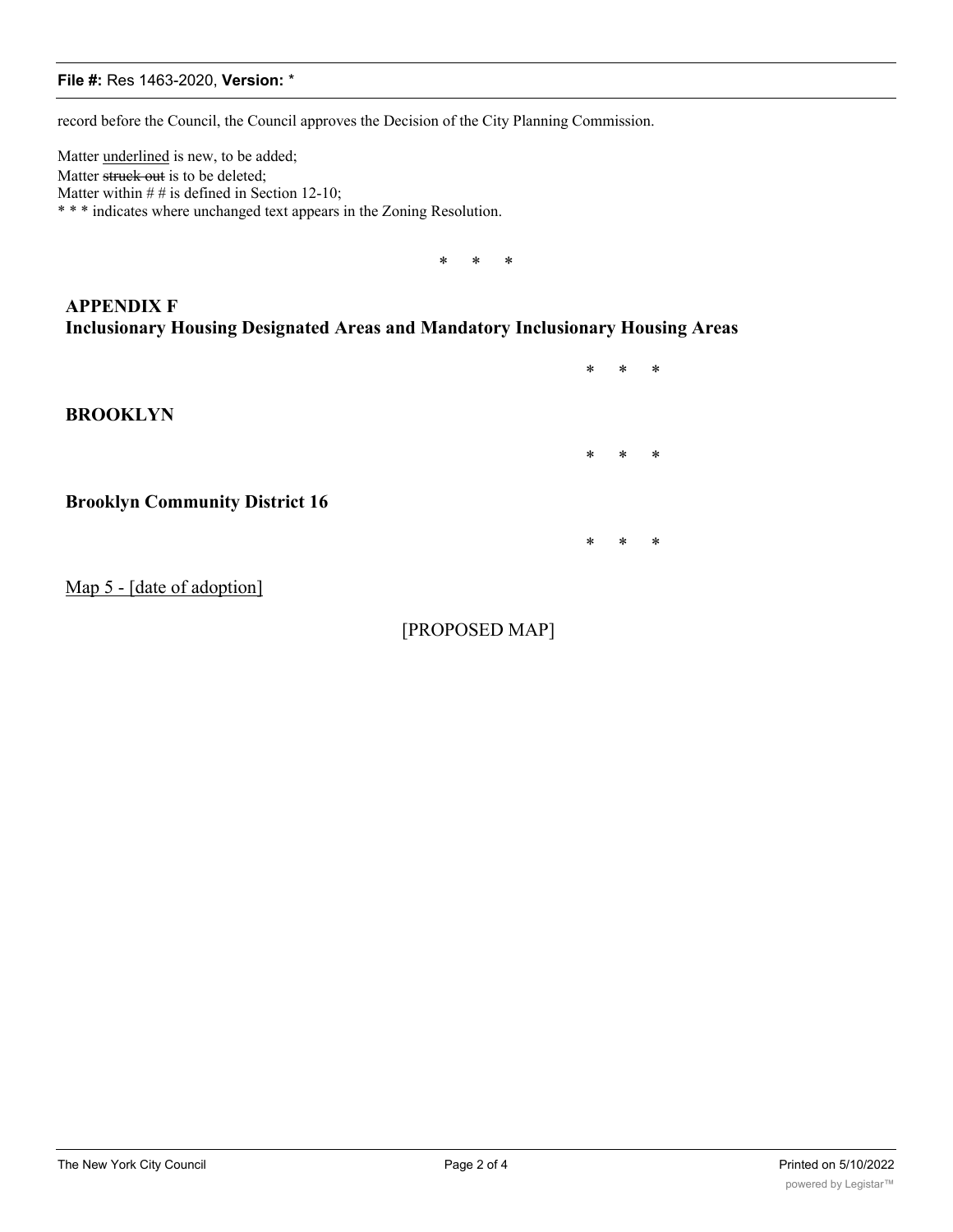#### **File #:** Res 1463-2020, **Version:** \*

record before the Council, the Council approves the Decision of the City Planning Commission.

Matter underlined is new, to be added; Matter struck out is to be deleted; Matter within  $# #$  is defined in Section 12-10; \* \* \* indicates where unchanged text appears in the Zoning Resolution.

\* \* \*

**APPENDIX F Inclusionary Housing Designated Areas and Mandatory Inclusionary Housing Areas**

\* \* \* **BROOKLYN** \* \* \* **Brooklyn Community District 16** \* \* \* Map 5 - [date of adoption]

[PROPOSED MAP]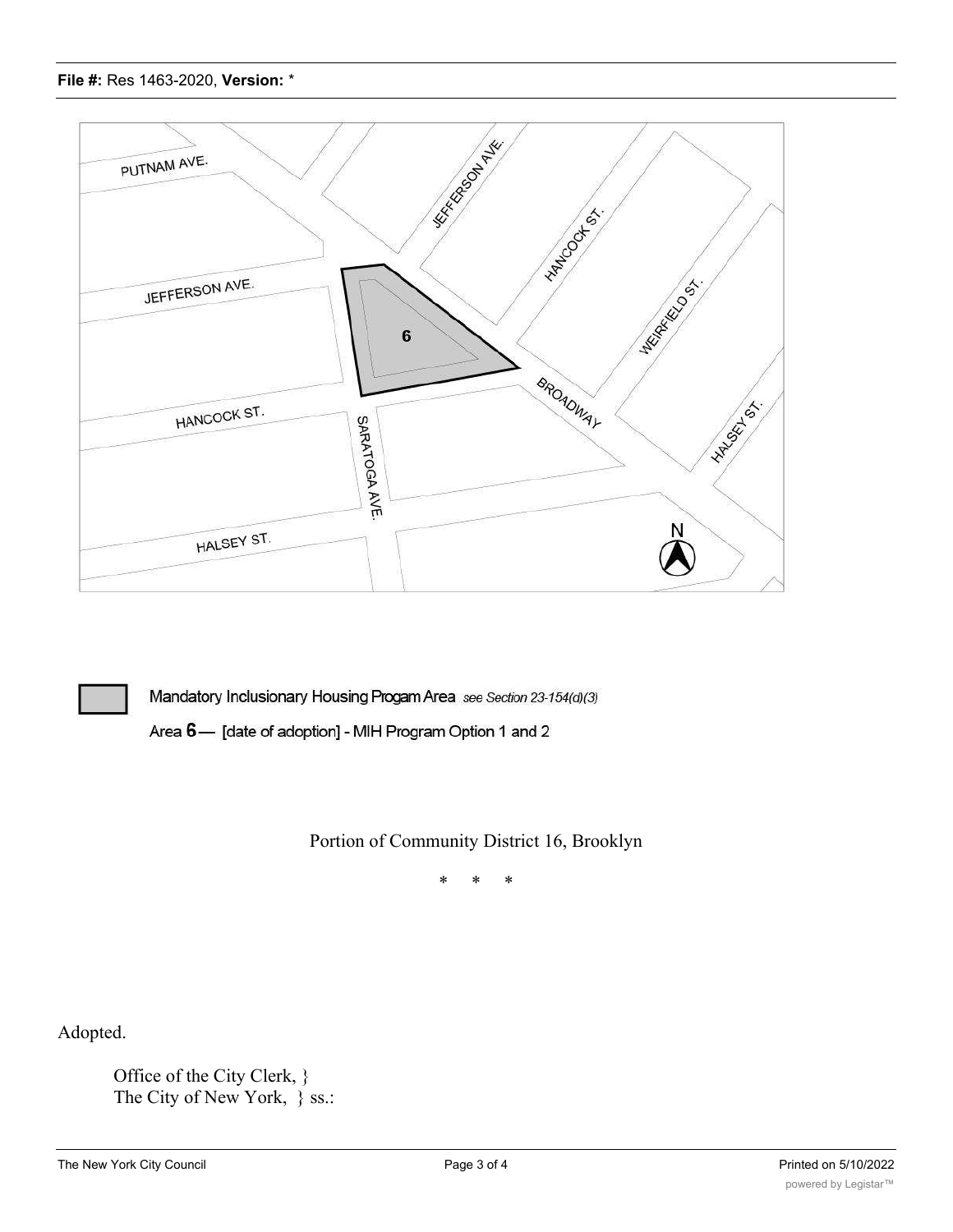



Mandatory Inclusionary Housing Progam Area see Section 23-154(d)(3)

Area 6- [date of adoption] - MIH Program Option 1 and 2

# Portion of Community District 16, Brooklyn

\* \* \*

Adopted.

Office of the City Clerk, } The City of New York,  $\}$  ss.:

In the foregoing that the foregoing is a true copy of a  $\mathbb{R}$  -copy of  $\mathbb{R}$  and  $\mathbb{R}$  -concilent by The Council of The Council of The Council of The Council of The Council of The Council of The Council of The Co